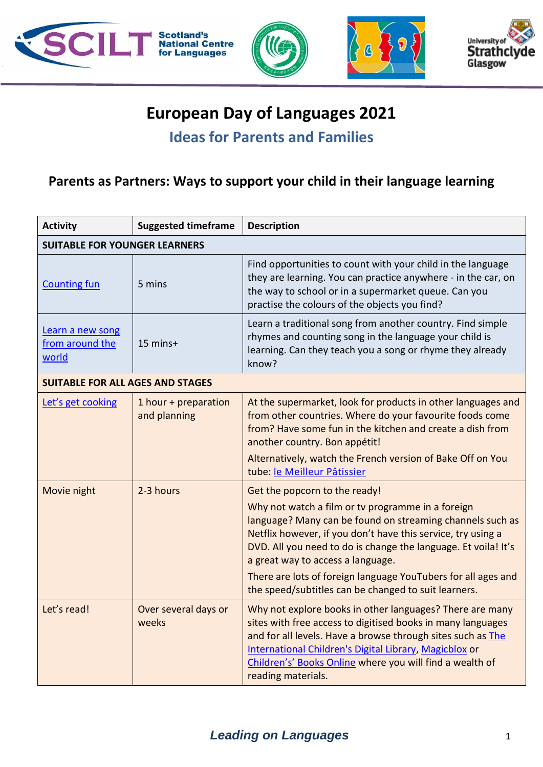

### **European Day of Languages 2021**

### **Ideas for Parents and Families**

#### **Parents as Partners: Ways to support your child in their language learning**

| <b>Activity</b>                              | <b>Suggested timeframe</b>           | <b>Description</b>                                                                                                                                                                                                                                                                                                                                                                                                                              |
|----------------------------------------------|--------------------------------------|-------------------------------------------------------------------------------------------------------------------------------------------------------------------------------------------------------------------------------------------------------------------------------------------------------------------------------------------------------------------------------------------------------------------------------------------------|
| <b>SUITABLE FOR YOUNGER LEARNERS</b>         |                                      |                                                                                                                                                                                                                                                                                                                                                                                                                                                 |
| <b>Counting fun</b>                          | 5 mins                               | Find opportunities to count with your child in the language<br>they are learning. You can practice anywhere - in the car, on<br>the way to school or in a supermarket queue. Can you<br>practise the colours of the objects you find?                                                                                                                                                                                                           |
| Learn a new song<br>from around the<br>world | 15 mins+                             | Learn a traditional song from another country. Find simple<br>rhymes and counting song in the language your child is<br>learning. Can they teach you a song or rhyme they already<br>know?                                                                                                                                                                                                                                                      |
| <b>SUITABLE FOR ALL AGES AND STAGES</b>      |                                      |                                                                                                                                                                                                                                                                                                                                                                                                                                                 |
| Let's get cooking                            | 1 hour + preparation<br>and planning | At the supermarket, look for products in other languages and<br>from other countries. Where do your favourite foods come<br>from? Have some fun in the kitchen and create a dish from<br>another country. Bon appétit!<br>Alternatively, watch the French version of Bake Off on You<br>tube: le Meilleur Pâtissier                                                                                                                             |
| Movie night                                  | 2-3 hours                            | Get the popcorn to the ready!<br>Why not watch a film or tv programme in a foreign<br>language? Many can be found on streaming channels such as<br>Netflix however, if you don't have this service, try using a<br>DVD. All you need to do is change the language. Et voila! It's<br>a great way to access a language.<br>There are lots of foreign language YouTubers for all ages and<br>the speed/subtitles can be changed to suit learners. |
| Let's read!                                  | Over several days or<br>weeks        | Why not explore books in other languages? There are many<br>sites with free access to digitised books in many languages<br>and for all levels. Have a browse through sites such as The<br>International Children's Digital Library, Magicblox or<br>Children's' Books Online where you will find a wealth of<br>reading materials.                                                                                                              |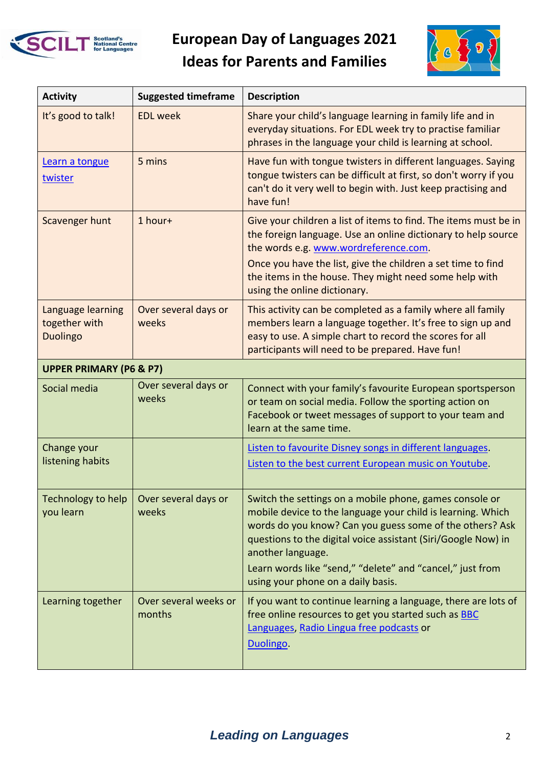

# **European Day of Languages 2021 Ideas for Parents and Families**



| <b>Activity</b>                                       | <b>Suggested timeframe</b>      | <b>Description</b>                                                                                                                                                                                                                                                                                                                                                          |  |
|-------------------------------------------------------|---------------------------------|-----------------------------------------------------------------------------------------------------------------------------------------------------------------------------------------------------------------------------------------------------------------------------------------------------------------------------------------------------------------------------|--|
| It's good to talk!                                    | <b>EDL</b> week                 | Share your child's language learning in family life and in<br>everyday situations. For EDL week try to practise familiar<br>phrases in the language your child is learning at school.                                                                                                                                                                                       |  |
| Learn a tongue<br>twister                             | 5 mins                          | Have fun with tongue twisters in different languages. Saying<br>tongue twisters can be difficult at first, so don't worry if you<br>can't do it very well to begin with. Just keep practising and<br>have fun!                                                                                                                                                              |  |
| Scavenger hunt                                        | 1 hour+                         | Give your children a list of items to find. The items must be in<br>the foreign language. Use an online dictionary to help source<br>the words e.g. www.wordreference.com.                                                                                                                                                                                                  |  |
|                                                       |                                 | Once you have the list, give the children a set time to find<br>the items in the house. They might need some help with<br>using the online dictionary.                                                                                                                                                                                                                      |  |
| Language learning<br>together with<br><b>Duolingo</b> | Over several days or<br>weeks   | This activity can be completed as a family where all family<br>members learn a language together. It's free to sign up and<br>easy to use. A simple chart to record the scores for all<br>participants will need to be prepared. Have fun!                                                                                                                                  |  |
| <b>UPPER PRIMARY (P6 &amp; P7)</b>                    |                                 |                                                                                                                                                                                                                                                                                                                                                                             |  |
| Social media                                          | Over several days or<br>weeks   | Connect with your family's favourite European sportsperson<br>or team on social media. Follow the sporting action on<br>Facebook or tweet messages of support to your team and<br>learn at the same time.                                                                                                                                                                   |  |
| Change your<br>listening habits                       |                                 | Listen to favourite Disney songs in different languages.<br>Listen to the best current European music on Youtube.                                                                                                                                                                                                                                                           |  |
| Technology to help<br>you learn                       | Over several days or<br>weeks   | Switch the settings on a mobile phone, games console or<br>mobile device to the language your child is learning. Which<br>words do you know? Can you guess some of the others? Ask<br>questions to the digital voice assistant (Siri/Google Now) in<br>another language.<br>Learn words like "send," "delete" and "cancel," just from<br>using your phone on a daily basis. |  |
| Learning together                                     | Over several weeks or<br>months | If you want to continue learning a language, there are lots of<br>free online resources to get you started such as BBC<br>Languages, Radio Lingua free podcasts or<br>Duolingo.                                                                                                                                                                                             |  |